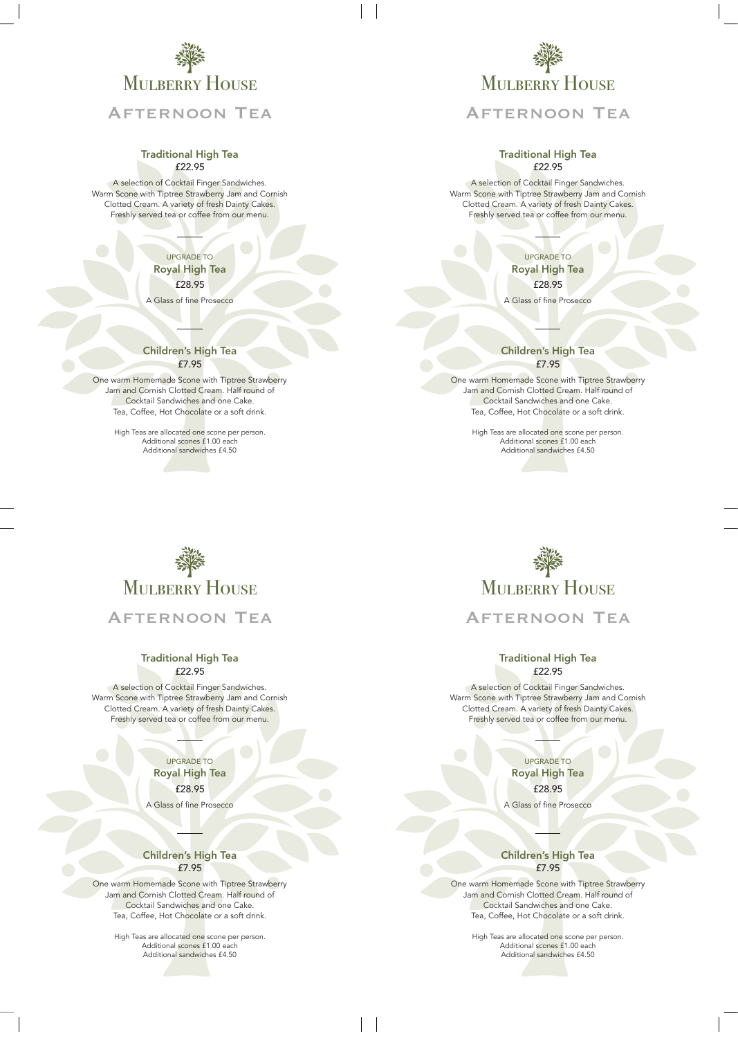

# Afternoon Tea

# Traditional High Tea £22.95

A selection of Cocktail Finger Sandwiches. Warm Scone with Tiptree Strawberry Jam and Cornish Clotted Cream. A variety of fresh Dainty Cakes. Freshly served tea or coffee from our menu.

> UPGRADE TO Royal High Tea £28.95

A Glass of fine Prosecco

# Children's High Tea £7.95

One warm Homemade Scone with Tiptree Strawberry Jam and Cornish Clotted Cream. Half round of Cocktail Sandwiches and one Cake. Tea, Coffee, Hot Chocolate or a soft drink.

> High Teas are allocated one scone per person. Additional scones £1.00 each Additional sandwiches £4.50